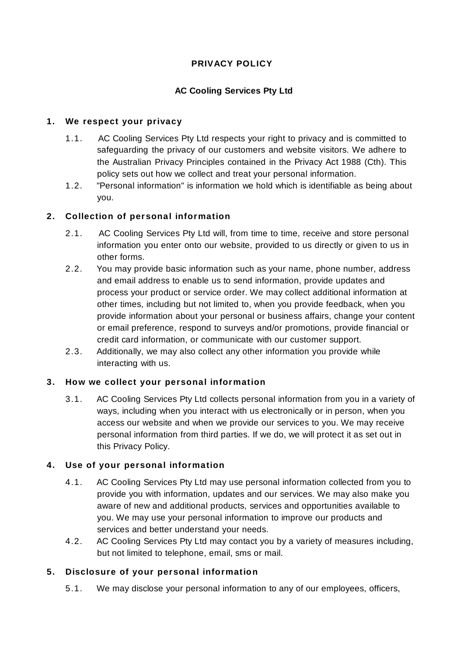# **PRIVACY POLICY**

## **AC Cooling Services Pty Ltd**

## **1. We respect your privacy**

- 1.1. AC Cooling Services Pty Ltd respects your right to privacy and is committed to safeguarding the privacy of our customers and website visitors. We adhere to the Australian Privacy Principles contained in the Privacy Act 1988 (Cth). This policy sets out how we collect and treat your personal information.
- 1.2. "Personal information" is information we hold which is identifiable as being about you.

## **2. Collection of personal information**

- 2.1. AC Cooling Services Pty Ltd will, from time to time, receive and store personal information you enter onto our website, provided to us directly or given to us in other forms.
- 2.2. You may provide basic information such as your name, phone number, address and email address to enable us to send information, provide updates and process your product or service order. We may collect additional information at other times, including but not limited to, when you provide feedback, when you provide information about your personal or business affairs, change your content or email preference, respond to surveys and/or promotions, provide financial or credit card information, or communicate with our customer support.
- 2.3. Additionally, we may also collect any other information you provide while interacting with us.

# **3. How we collect your personal information**

3.1. AC Cooling Services Pty Ltd collects personal information from you in a variety of ways, including when you interact with us electronically or in person, when you access our website and when we provide our services to you. We may receive personal information from third parties. If we do, we will protect it as set out in this Privacy Policy.

### **4. Use of your personal information**

- 4.1. AC Cooling Services Pty Ltd may use personal information collected from you to provide you with information, updates and our services. We may also make you aware of new and additional products, services and opportunities available to you. We may use your personal information to improve our products and services and better understand your needs.
- 4.2. AC Cooling Services Pty Ltd may contact you by a variety of measures including, but not limited to telephone, email, sms or mail.

### **5. Disclosure of your personal information**

5.1. We may disclose your personal information to any of our employees, officers,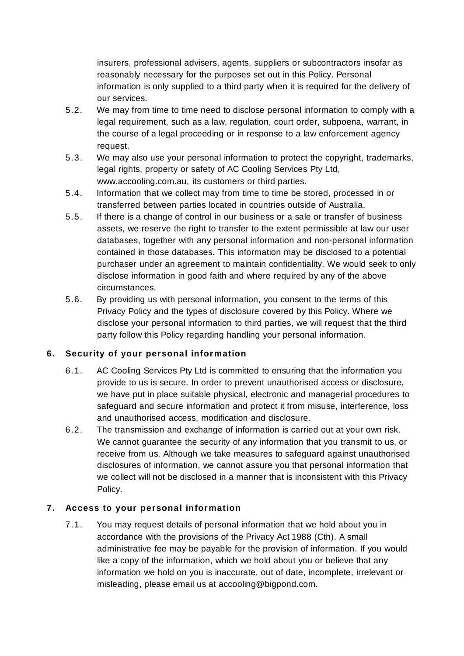insurers, professional advisers, agents, suppliers or subcontractors insofar as reasonably necessary for the purposes set out in this Policy. Personal information is only supplied to a third party when it is required for the delivery of our services.

- 5.2. We may from time to time need to disclose personal information to comply with a legal requirement, such as a law, regulation, court order, subpoena, warrant, in the course of a legal proceeding or in response to a law enforcement agency request.
- 5.3. We may also use your personal information to protect the copyright, trademarks, legal rights, property or safety of AC Cooling Services Pty Ltd[,](http://www.accooling.com.au/) [www.accooling.com.au,](http://www.accooling.com.au/) its customers or third parties.
- 5.4. Information that we collect may from time to time be stored, processed in or transferred between parties located in countries outside of Australia.
- 5.5. If there is a change of control in our business or a sale or transfer of business assets, we reserve the right to transfer to the extent permissible at law our user databases, together with any personal information and non-personal information contained in those databases. This information may be disclosed to a potential purchaser under an agreement to maintain confidentiality. We would seek to only disclose information in good faith and where required by any of the above circumstances.
- 5.6. By providing us with personal information, you consent to the terms of this Privacy Policy and the types of disclosure covered by this Policy. Where we disclose your personal information to third parties, we will request that the third party follow this Policy regarding handling your personal information.

# **6. Security of your personal information**

- 6.1. AC Cooling Services Pty Ltd is committed to ensuring that the information you provide to us is secure. In order to prevent unauthorised access or disclosure, we have put in place suitable physical, electronic and managerial procedures to safeguard and secure information and protect it from misuse, interference, loss and unauthorised access, modification and disclosure.
- 6.2. The transmission and exchange of information is carried out at your own risk. We cannot guarantee the security of any information that you transmit to us, or receive from us. Although we take measures to safeguard against unauthorised disclosures of information, we cannot assure you that personal information that we collect will not be disclosed in a manner that is inconsistent with this Privacy Policy.

# **7. Access to your personal information**

7.1. You may request details of personal information that we hold about you in accordance with the provisions of the Privacy Act 1988 (Cth). A small administrative fee may be payable for the provision of information. If you would like a copy of the information, which we hold about you or believe that any information we hold on you is inaccurate, out of date, incomplete, irrelevant or misleading, please email us at [accooling@bigpond.com.](mailto:accooling@bigpond.com)